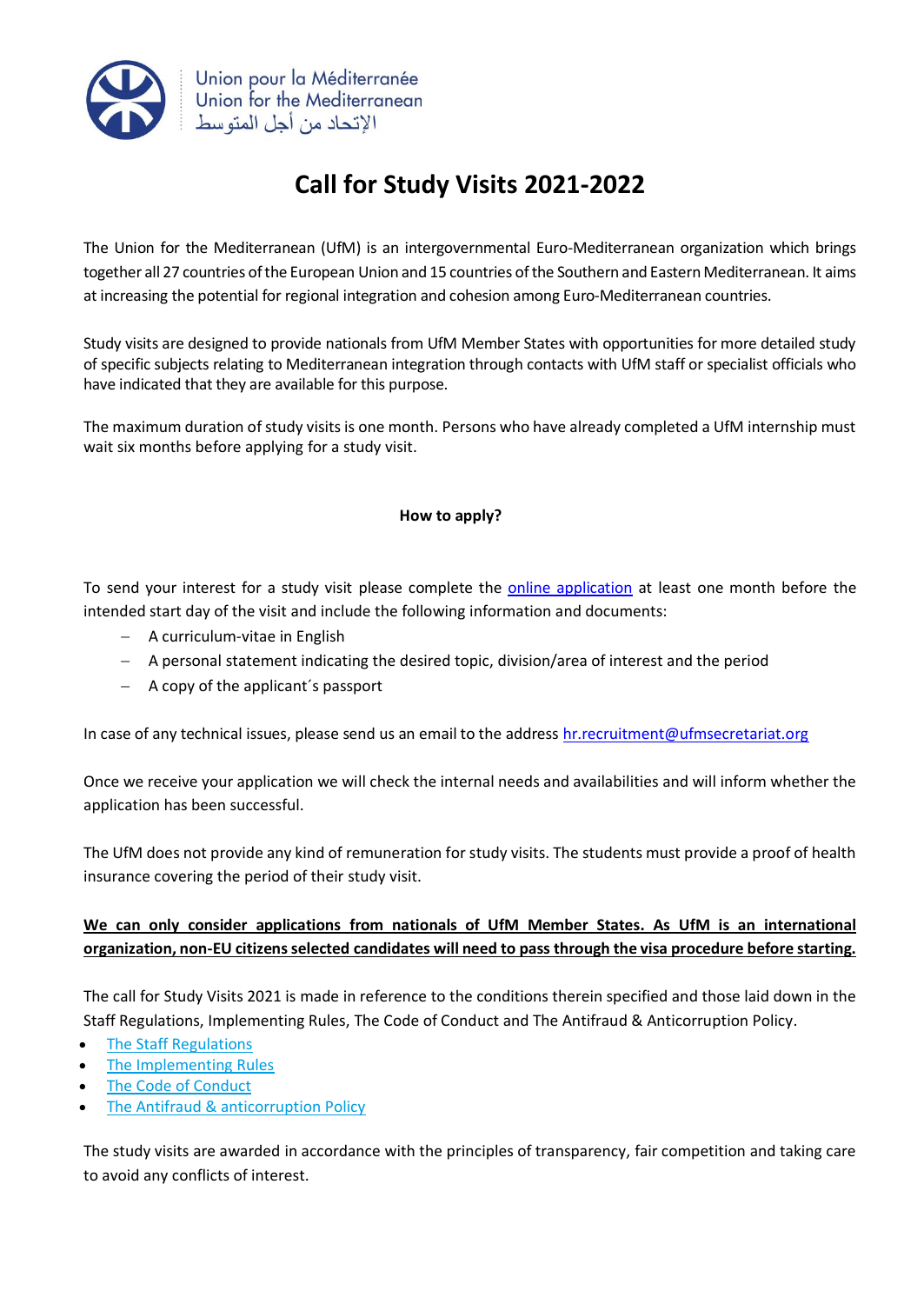

## **Call for Study Visits 2021-2022**

The Union for the Mediterranean (UfM) is an intergovernmental Euro-Mediterranean organization which brings together all 27 countries of the European Union and 15 countries of the Southern and Eastern Mediterranean. It aims at increasing the potential for regional integration and cohesion among Euro-Mediterranean countries.

Study visits are designed to provide nationals from UfM Member States with opportunities for more detailed study of specific subjects relating to Mediterranean integration through contacts with UfM staff or specialist officials who have indicated that they are available for this purpose.

The maximum duration of study visits is one month. Persons who have already completed a UfM internship must wait six months before applying for a study visit.

## **How to apply?**

To send your interest for a study visit please complete the [online application](https://ufmsecretariat.org/call-for-study-visits/) at least one month before the intended start day of the visit and include the following information and documents:

- − A curriculum-vitae in English
- − A personal statement indicating the desired topic, division/area of interest and the period
- − A copy of the applicant´s passport

In case of any technical issues, please send us an email to the address hr. recruitment@ufmsecretariat.org

Once we receive your application we will check the internal needs and availabilities and will inform whether the application has been successful.

The UfM does not provide any kind of remuneration for study visits. The students must provide a proof of health insurance covering the period of their study visit.

## **We can only consider applications from nationals of UfM Member States. As UfM is an international organization, non-EU citizens selected candidates will need to pass through the visa procedure before starting.**

The call for Study Visits 2021 is made in reference to the conditions therein specified and those laid down in the Staff Regulations, Implementing Rules, The Code of Conduct and The Antifraud & Anticorruption Policy.

- The Staff [Regulations](https://ufmsecretariat.org/wp-content/uploads/2018/12/17-07-18-Consolidated-Staff-Regulations.pdf)
- The [Implementing](https://ufmsecretariat.org/wp-content/uploads/2018/12/17-07-18-Implementing-Rules.pdf) Rules
- The Code of [Conduct](https://ufmsecretariat.org/wp-content/uploads/2018/12/17-07-18-Code-of-Conduct.pdf)
- The Antifraud & [anticorruption](https://ufmsecretariat.org/wp-content/uploads/2018/12/17-07-18-Anti-fraud-Anti-corruption-Policy.pdf) Policy

The study visits are awarded in accordance with the principles of transparency, fair competition and taking care to avoid any conflicts of interest.